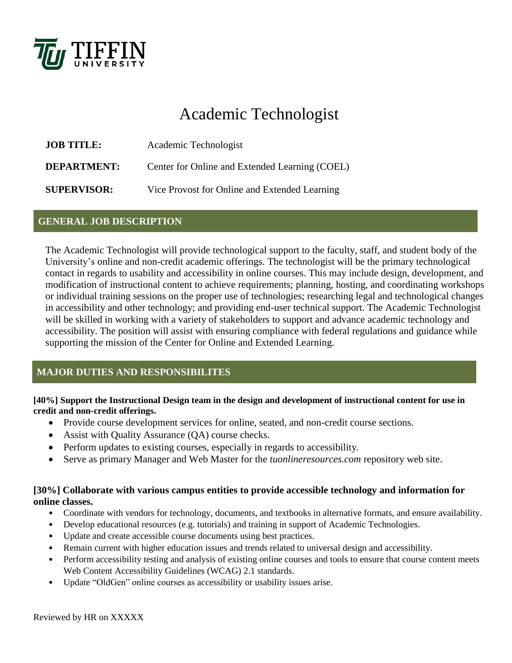

# Academic Technologist

| <b>JOB TITLE:</b>  | Academic Technologist                          |  |  |  |
|--------------------|------------------------------------------------|--|--|--|
| <b>DEPARTMENT:</b> | Center for Online and Extended Learning (COEL) |  |  |  |
| <b>SUPERVISOR:</b> | Vice Provost for Online and Extended Learning  |  |  |  |

#### **GENERAL JOB DESCRIPTION**

The Academic Technologist will provide technological support to the faculty, staff, and student body of the University's online and non-credit academic offerings. The technologist will be the primary technological contact in regards to usability and accessibility in online courses. This may include design, development, and modification of instructional content to achieve requirements; planning, hosting, and coordinating workshops or individual training sessions on the proper use of technologies; researching legal and technological changes in accessibility and other technology; and providing end-user technical support. The Academic Technologist will be skilled in working with a variety of stakeholders to support and advance academic technology and accessibility. The position will assist with ensuring compliance with federal regulations and guidance while supporting the mission of the Center for Online and Extended Learning.

## **MAJOR DUTIES AND RESPONSIBILITES**

#### **[40%] Support the Instructional Design team in the design and development of instructional content for use in credit and non-credit offerings.**

- Provide course development services for online, seated, and non-credit course sections.
- Assist with Quality Assurance (QA) course checks.
- Perform updates to existing courses, especially in regards to accessibility.
- Serve as primary Manager and Web Master for the *tuonlineresources.com* repository web site.

#### **[30%] Collaborate with various campus entities to provide accessible technology and information for online classes.**

- Coordinate with vendors for technology, documents, and textbooks in alternative formats, and ensure availability.
- Develop educational resources (e.g. tutorials) and training in support of Academic Technologies.
- Update and create accessible course documents using best practices.
- Remain current with higher education issues and trends related to universal design and accessibility.
- Perform accessibility testing and analysis of existing online courses and tools to ensure that course content meets Web Content Accessibility Guidelines (WCAG) 2.1 standards.
- Update "OldGen" online courses as accessibility or usability issues arise.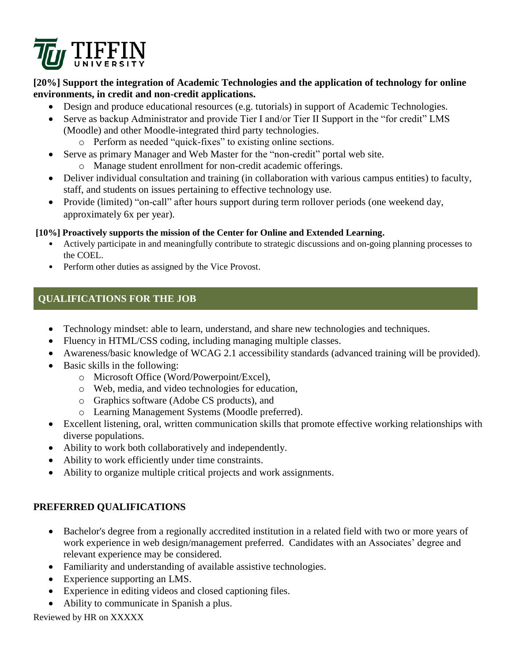

#### **[20%] Support the integration of Academic Technologies and the application of technology for online environments, in credit and non-credit applications.**

- Design and produce educational resources (e.g. tutorials) in support of Academic Technologies.
- Serve as backup Administrator and provide Tier I and/or Tier II Support in the "for credit" LMS (Moodle) and other Moodle-integrated third party technologies.
	- o Perform as needed "quick-fixes" to existing online sections.
- Serve as primary Manager and Web Master for the "non-credit" portal web site.
	- o Manage student enrollment for non-credit academic offerings.
- Deliver individual consultation and training (in collaboration with various campus entities) to faculty, staff, and students on issues pertaining to effective technology use.
- Provide (limited) "on-call" after hours support during term rollover periods (one weekend day, approximately 6x per year).

#### **[10%] Proactively supports the mission of the Center for Online and Extended Learning.**

- Actively participate in and meaningfully contribute to strategic discussions and on-going planning processes to the COEL.
- Perform other duties as assigned by the Vice Provost.

# **QUALIFICATIONS FOR THE JOB**

- Technology mindset: able to learn, understand, and share new technologies and techniques.
- Fluency in HTML/CSS coding, including managing multiple classes.
- Awareness/basic knowledge of WCAG 2.1 accessibility standards (advanced training will be provided).
- Basic skills in the following:
	- o Microsoft Office (Word/Powerpoint/Excel),
	- o Web, media, and video technologies for education,
	- o Graphics software (Adobe CS products), and
	- o Learning Management Systems (Moodle preferred).
- Excellent listening, oral, written communication skills that promote effective working relationships with diverse populations.
- Ability to work both collaboratively and independently.
- Ability to work efficiently under time constraints.
- Ability to organize multiple critical projects and work assignments.

## **PREFERRED QUALIFICATIONS**

- Bachelor's degree from a regionally accredited institution in a related field with two or more years of work experience in web design/management preferred. Candidates with an Associates' degree and relevant experience may be considered.
- Familiarity and understanding of available assistive technologies.
- Experience supporting an LMS.
- Experience in editing videos and closed captioning files.
- Ability to communicate in Spanish a plus.

#### Reviewed by HR on XXXXX